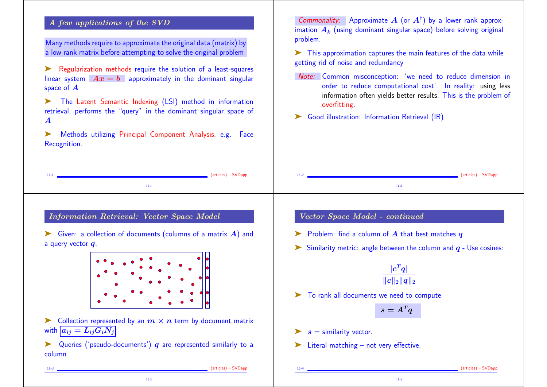#### A few applications of the SVD Many methods require to approximate the original data (matrix) by a low rank matrix before attempting to solve the original problem ➤ Regularization methods require the solution of a least-squares linear system  $Ax = b$  approximately in the dominant singular space of A ➤ The Latent Semantic Indexing (LSI) method in information retrieval, performs the "query" in the dominant singular space of A ➤ Methods utilizing Principal Component Analysis, e.g. Face Recognition. 11-1 (articles) – SVDapp 11-1 Commonality: Approximate A (or  $A^{\dagger}$ ) by a lower rank approximation  $A_k$  (using dominant singular space) before solving original problem. ➤ This approximation captures the main features of the data while getting rid of noise and redundancy Note: Common misconception: 'we need to reduce dimension in order to reduce computational cost'. In reality: using less information often yields better results. This is the problem of overfitting. ▶ Good illustration: Information Retrieval (IR) (articles) – SVDapp 11-2 Information Retrieval: Vector Space Model  $\triangleright$  Given: a collection of documents (columns of a matrix  $\boldsymbol{A}$ ) and a query vector  $q$ . Collection represented by an  $m \times n$  term by document matrix with  $\overline{a_{ij} = L_{ij}G_iN_j}$  $\triangleright$  Queries ('pseudo-documents')  $\sigma$  are represented similarly to a column 11-3 (articles) – SVDapp Vector Space Model - continued  $\triangleright$  Problem: find a column of  $\overline{A}$  that best matches  $\overline{a}$  $\triangleright$  Similarity metric: angle between the column and  $q$  - Use cosines:  $|c^Tq|$  $\Vert c\Vert_2\Vert q\Vert_2$ ➤ To rank all documents we need to compute  $s = A^T q$  $\blacktriangleright$  s = similarity vector. Literal matching – not very effective. 11-4 (articles) – SVDapp

11-4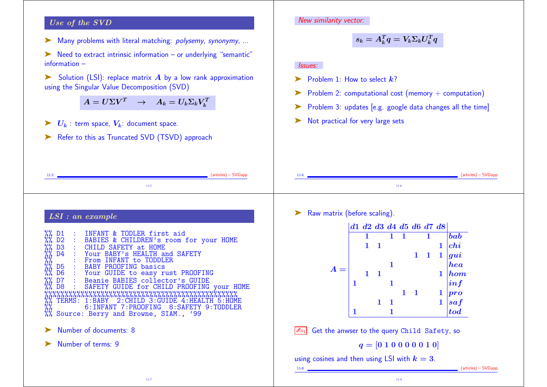## Use of the SVD

➤ Many problems with literal matching: polysemy, synonymy, ...

➤ Need to extract intrinsic information – or underlying "semantic" information –

 $\triangleright$  Solution (LSI): replace matrix A by a low rank approximation using the Singular Value Decomposition (SVD)

> $A = U\Sigma V^T \rightarrow A_k = U_k \Sigma_k V_k^T$  $\boldsymbol{k}$

- $\blacktriangleright$   $U_k$ : term space,  $V_k$ : document space.
- ▶ Refer to this as Truncated SVD (TSVD) approach

New similarity vector:

$$
s_k = A_k^T q = V_k \Sigma_k U_k^T q
$$

### Issues:

- $\triangleright$  Problem 1: How to select  $k$ ?
- $\triangleright$  Problem 2: computational cost (memory + computation)
- ► Problem 3: updates [e.g. google data changes all the time]
- ▶ Not practical for very large sets

| (articles) - SVDapp<br>$11-5$                                                                                                                                                                                                                                                                                                                                                                                                                                                      | (articles) - SVDapp<br>$11-6$                                                                                                                                                                           |  |  |  |  |
|------------------------------------------------------------------------------------------------------------------------------------------------------------------------------------------------------------------------------------------------------------------------------------------------------------------------------------------------------------------------------------------------------------------------------------------------------------------------------------|---------------------------------------------------------------------------------------------------------------------------------------------------------------------------------------------------------|--|--|--|--|
| $11-5$                                                                                                                                                                                                                                                                                                                                                                                                                                                                             | $11-6$                                                                                                                                                                                                  |  |  |  |  |
| LSI: an example<br>$\frac{D1}{D2}$<br>TODLER first aid<br>INFANT &                                                                                                                                                                                                                                                                                                                                                                                                                 | Raw matrix (before scaling).<br>d1 d2 d3 d4 d5 d6 d7 d8<br>$\mathbf{1}$<br>$\boldsymbol{\boldsymbol{bab}}$<br>$\mathbf 1$                                                                               |  |  |  |  |
| BABIES & CHILDREN's room for your HOME<br>D <sub>3</sub><br>$\frac{2}{3}$<br>CHILD SAFETY at HOME<br>Your BABY's HEALTH and SAFETY<br>From INFANT to TODDLER<br>$\frac{D5}{D6}$<br>BABY PROOFING basics<br>Your GUIDE to easy rust PROOFING<br>$_{\rm D8}^{\rm D7}$<br>Beanie BABIES collector's GUIDE<br>GUIDE for CHILD PROOFING your HOME<br>TERMS: 1:BABY<br>CHILD 3:GUIDE 4: HEALTH 5: HOME<br>8: SAFETY 9: TODDLER<br>7: PROOFING<br>%% Source: Berry and Browne, SIAM., '99 | $\mathop{chi}\nolimits$<br>$\mathbf{1}$<br>$\mathbf{1}$<br>1<br>$\bm{g} \bm{u} \bm{i}$<br>hea<br>$A =$<br>$\bm{hom}$<br>$\left inf\right $<br>1<br>$\mathbf 1$<br>1   pro<br> saf<br>$\boldsymbol{tod}$ |  |  |  |  |
| Number of documents: 8                                                                                                                                                                                                                                                                                                                                                                                                                                                             | Get the anwser to the query Child Safety, so<br>$\mathbb{Z}_{1}$                                                                                                                                        |  |  |  |  |
| Number of terms: 9                                                                                                                                                                                                                                                                                                                                                                                                                                                                 | $q = [0 1 0 0 0 0 0 1 0]$                                                                                                                                                                               |  |  |  |  |
|                                                                                                                                                                                                                                                                                                                                                                                                                                                                                    | using cosines and then using LSI with $k = 3$ .<br>(articles) - SVDapp                                                                                                                                  |  |  |  |  |
| $11-7$                                                                                                                                                                                                                                                                                                                                                                                                                                                                             | $11-8$                                                                                                                                                                                                  |  |  |  |  |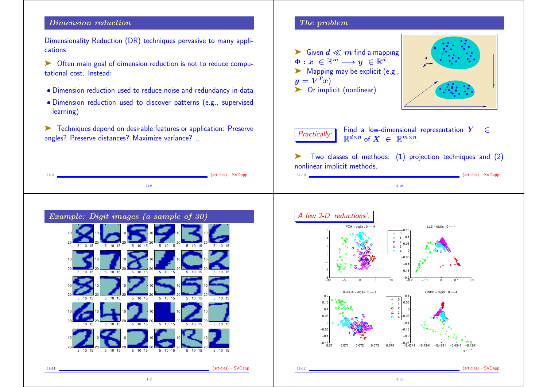## Dimension reduction

Dimensionality Reduction (DR) techniques pervasive to many applications

- ➤ Often main goal of dimension reduction is not to reduce computational cost. Instead:
- Dimension reduction used to reduce noise and redundancy in data
- Dimension reduction used to discover patterns (e.g., supervised learning)
- ➤ Techniques depend on desirable features or application: Preserve angles? Preserve distances? Maximize variance? ..

11-9 (articles) – SVDapp 11-9

#### The problem

 $\blacktriangleright$  Given  $d \ll m$  find a mapping  $\Phi: x \in \mathbb{R}^m \longrightarrow y \in \mathbb{R}^d$ Mapping may be explicit (e.g.,  $y=V^Tx)$ ▶ Or implicit (nonlinear)



 $\overline{Practically:}$  Find a low-dimensional representation  $Y \in$  $\mathbb{R}^{d \times n}$  of  $X \in \mathbb{R}^{m \times n}$ .

Two classes of methods: (1) projection techniques and (2) nonlinear implicit methods. 11-10 (articles) – SVDapp

11-10